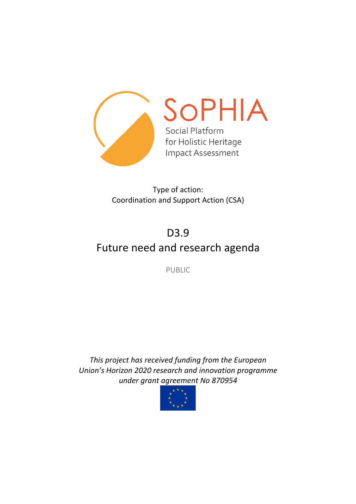

Type of action: Coordination and Support Action (CSA)

# D3.9 Future need and research agenda

PUBLIC

*This project has received funding from the European Union's Horizon 2020 research and innovation programme under grant agreement No 870954*

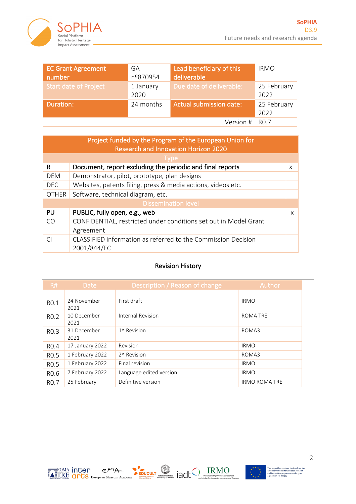

| <b>EC Grant Agreement</b> | GA        | Lead beneficiary of this | <b>IRMO</b>      |
|---------------------------|-----------|--------------------------|------------------|
| number                    | nº870954  | deliverable              |                  |
| Start date of Project     | 1 January | Due date of deliverable: | 25 February      |
|                           | 2020      |                          | 2022             |
| Duration:                 | 24 months | Actual submission date:  | 25 February      |
|                           |           |                          | 2022             |
|                           |           | Version #                | R <sub>0.7</sub> |

|                            | Project funded by the Program of the European Union for<br><b>Research and Innovation Horizon 2020</b> |   |  |  |  |
|----------------------------|--------------------------------------------------------------------------------------------------------|---|--|--|--|
| <b>Type</b>                |                                                                                                        |   |  |  |  |
| R                          | Document, report excluding the periodic and final reports                                              | X |  |  |  |
| <b>DEM</b>                 | Demonstrator, pilot, prototype, plan designs                                                           |   |  |  |  |
| <b>DEC</b>                 | Websites, patents filing, press & media actions, videos etc.                                           |   |  |  |  |
| <b>OTHER</b>               | Software, technical diagram, etc.                                                                      |   |  |  |  |
| <b>Dissemination level</b> |                                                                                                        |   |  |  |  |
| PU                         | PUBLIC, fully open, e.g., web                                                                          | X |  |  |  |
| CO                         | CONFIDENTIAL, restricted under conditions set out in Model Grant                                       |   |  |  |  |
|                            | Agreement                                                                                              |   |  |  |  |
|                            | CLASSIFIED information as referred to the Commission Decision                                          |   |  |  |  |
|                            | 2001/844/EC                                                                                            |   |  |  |  |

### Revision History

| R#               | <b>Date</b>         | Description / Reason of change | Author               |
|------------------|---------------------|--------------------------------|----------------------|
| R <sub>0.1</sub> | 24 November<br>2021 | First draft                    | <b>IRMO</b>          |
| R <sub>0.2</sub> | 10 December<br>2021 | Internal Revision              | <b>ROMA TRE</b>      |
| R <sub>0.3</sub> | 31 December<br>2021 | 1 <sup>^</sup> Revision        | ROMA3                |
| R <sub>0.4</sub> | 17 January 2022     | Revision                       | <b>IRMO</b>          |
| R <sub>0.5</sub> | 1 February 2022     | 2 <sup>^</sup> Revision        | ROMA3                |
| R <sub>0.5</sub> | 1 February 2022     | Final revision                 | <b>IRMO</b>          |
| R <sub>0.6</sub> | 7 February 2022     | Language edited version        | <b>IRMO</b>          |
| R <sub>0.7</sub> | 25 February         | Definitive version             | <b>IRMO ROMA TRE</b> |

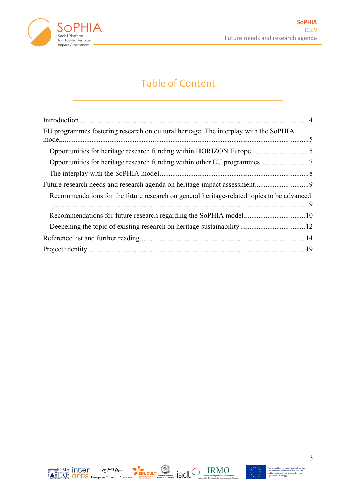

## Table of Content

\_\_\_\_\_\_\_\_\_\_\_\_\_\_\_\_\_\_\_\_\_\_\_\_\_\_\_\_\_\_\_\_\_\_\_\_\_\_\_\_

| EU programmes fostering research on cultural heritage. The interplay with the SoPHIA      |
|-------------------------------------------------------------------------------------------|
|                                                                                           |
|                                                                                           |
|                                                                                           |
|                                                                                           |
| Recommendations for the future research on general heritage-related topics to be advanced |
|                                                                                           |
|                                                                                           |
|                                                                                           |
|                                                                                           |



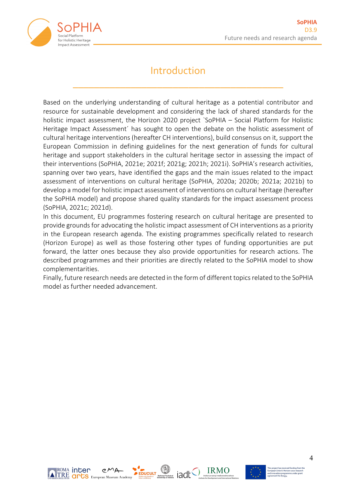

## Introduction

\_\_\_\_\_\_\_\_\_\_\_\_\_\_\_\_\_\_\_\_\_\_\_\_\_\_\_\_\_\_\_\_\_\_\_\_\_\_\_\_

Based on the underlying understanding of cultural heritage as a potential contributor and resource for sustainable development and considering the lack of shared standards for the holistic impact assessment, the Horizon 2020 project `SoPHIA – Social Platform for Holistic Heritage Impact Assessment´ has sought to open the debate on the holistic assessment of cultural heritage interventions (hereafter CH interventions), build consensus on it, support the European Commission in defining guidelines for the next generation of funds for cultural heritage and support stakeholders in the cultural heritage sector in assessing the impact of their interventions (SoPHIA, 2021e; 2021f; 2021g; 2021h; 2021i). SoPHIA's research activities, spanning over two years, have identified the gaps and the main issues related to the impact assessment of interventions on cultural heritage (SoPHIA, 2020a; 2020b; 2021a; 2021b) to develop a model for holistic impact assessment of interventions on cultural heritage (hereafter the SoPHIA model) and propose shared quality standards for the impact assessment process (SoPHIA, 2021c; 2021d).

In this document, EU programmes fostering research on cultural heritage are presented to provide grounds for advocating the holistic impact assessment of CH interventions as a priority in the European research agenda. The existing programmes specifically related to research (Horizon Europe) as well as those fostering other types of funding opportunities are put forward, the latter ones because they also provide opportunities for research actions. The described programmes and their priorities are directly related to the SoPHIA model to show complementarities.

Finally, future research needs are detected in the form of different topics related to the SoPHIA model as further needed advancement.



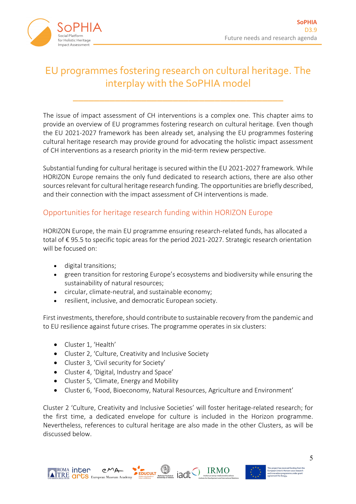

## EU programmes fostering research on cultural heritage. The interplay with the SoPHIA model

\_\_\_\_\_\_\_\_\_\_\_\_\_\_\_\_\_\_\_\_\_\_\_\_\_\_\_\_\_\_\_\_\_\_\_\_\_\_\_\_

The issue of impact assessment of CH interventions is a complex one. This chapter aims to provide an overview of EU programmes fostering research on cultural heritage. Even though the EU 2021-2027 framework has been already set, analysing the EU programmes fostering cultural heritage research may provide ground for advocating the holistic impact assessment of CH interventions as a research priority in the mid-term review perspective.

Substantial funding for cultural heritage is secured within the EU 2021-2027 framework. While HORIZON Europe remains the only fund dedicated to research actions, there are also other sources relevant for cultural heritage research funding. The opportunities are briefly described, and their connection with the impact assessment of CH interventions is made.

### Opportunities for heritage research funding within HORIZON Europe

HORIZON Europe, the main EU programme ensuring research-related funds, has allocated a total of € 95.5 to specific topic areas for the period 2021-2027. Strategic research orientation will be focused on:

- digital transitions;
- green transition for restoring Europe's ecosystems and biodiversity while ensuring the sustainability of natural resources;
- circular, climate-neutral, and sustainable economy;
- resilient, inclusive, and democratic European society.

First investments, therefore, should contribute to sustainable recovery from the pandemic and to EU resilience against future crises. The programme operates in six clusters:

- Cluster 1, 'Health'
- Cluster 2, 'Culture, Creativity and Inclusive Society
- Cluster 3, 'Civil security for Society'
- Cluster 4, 'Digital, Industry and Space'
- Cluster 5, 'Climate, Energy and Mobility
- Cluster 6, 'Food, Bioeconomy, Natural Resources, Agriculture and Environment'

Cluster 2 'Culture, Creativity and Inclusive Societies' will foster heritage-related research; for the first time, a dedicated envelope for culture is included in the Horizon programme. Nevertheless, references to cultural heritage are also made in the other Clusters, as will be discussed below.

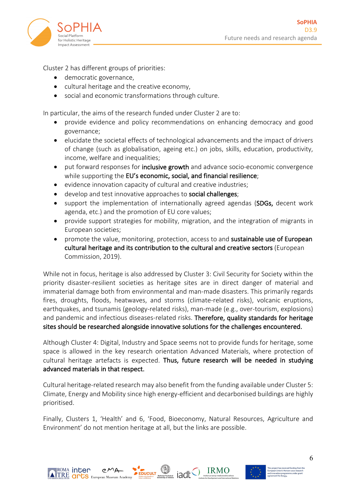

Cluster 2 has different groups of priorities:

- democratic governance,
- cultural heritage and the creative economy,
- social and economic transformations through culture.

In particular, the aims of the research funded under Cluster 2 are to:

- provide evidence and policy recommendations on enhancing democracy and good governance;
- elucidate the societal effects of technological advancements and the impact of drivers of change (such as globalisation, ageing etc.) on jobs, skills, education, productivity, income, welfare and inequalities;
- put forward responses for inclusive growth and advance socio-economic convergence while supporting the EU's economic, social, and financial resilience;
- evidence innovation capacity of cultural and creative industries;
- develop and test innovative approaches to social challenges;
- support the implementation of internationally agreed agendas (SDGs, decent work agenda, etc.) and the promotion of EU core values;
- provide support strategies for mobility, migration, and the integration of migrants in European societies;
- promote the value, monitoring, protection, access to and sustainable use of European cultural heritage and its contribution to the cultural and creative sectors (European Commission, 2019).

While not in focus, heritage is also addressed by Cluster 3: Civil Security for Society within the priority disaster-resilient societies as heritage sites are in direct danger of material and immaterial damage both from environmental and man-made disasters. This primarily regards fires, droughts, floods, heatwaves, and storms (climate-related risks), volcanic eruptions, earthquakes, and tsunamis (geology-related risks), man-made (e.g., over-tourism, explosions) and pandemic and infectious diseases-related risks. Therefore, quality standards for heritage sites should be researched alongside innovative solutions for the challenges encountered.

Although Cluster 4: Digital, Industry and Space seems not to provide funds for heritage, some space is allowed in the key research orientation Advanced Materials, where protection of cultural heritage artefacts is expected. Thus, future research will be needed in studying advanced materials in that respect.

Cultural heritage-related research may also benefit from the funding available under Cluster 5: Climate, Energy and Mobility since high energy-efficient and decarbonised buildings are highly prioritised.

Finally, Clusters 1, 'Health' and 6, 'Food, Bioeconomy, Natural Resources, Agriculture and Environment' do not mention heritage at all, but the links are possible.

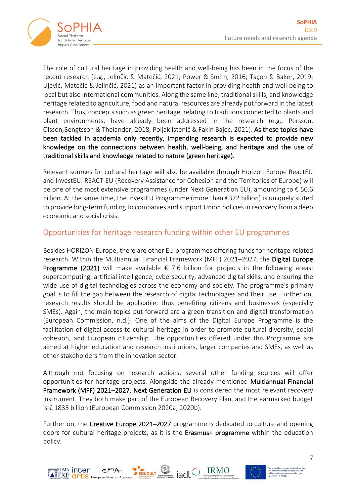

The role of cultural heritage in providing health and well-being has been in the focus of the recent research (e.g., Jelinčić & Matečić, 2021; Power & Smith, 2016; Taçon & Baker, 2019; Ujević, Matečić & Jelinčić, 2021) as an important factor in providing health and well-being to local but also international communities. Along the same line, traditional skills, and knowledge heritage related to agriculture, food and natural resources are already put forward in the latest research. Thus, concepts such as green heritage, relating to traditions connected to plants and plant environments, have already been addressed in the research (e.g., Persson, Olsson,Bengtsson & Thelander, 2018; Poljak Istenič & Fakin Bajec, 2021). As these topics have been tackled in academia only recently, impending research is expected to provide new knowledge on the connections between health, well-being, and heritage and the use of traditional skills and knowledge related to nature (green heritage).

Relevant sources for cultural heritage will also be available through Horizon Europe ReactEU and InvestEU. REACT-EU (Recovery Assistance for Cohesion and the Territories of Europe) will be one of the most extensive programmes (under Next Generation EU), amounting to  $\epsilon$  50.6 billion. At the same time, the InvestEU Programme (more than €372 billion) is uniquely suited to provide long-term funding to companies and support Union policies in recovery from a deep economic and social crisis.

### Opportunities for heritage research funding within other EU programmes

Besides HORIZON Europe, there are other EU programmes offering funds for heritage-related research. Within the Multiannual Financial Framework (MFF) 2021–2027, the Digital Europe **Programme (2021)** will make available  $\epsilon$  7.6 billion for projects in the following areas: supercomputing, artificial intelligence, cybersecurity, advanced digital skills, and ensuring the wide use of digital technologies across the economy and society. The programme's primary goal is to fill the gap between the research of digital technologies and their use. Further on, research results should be applicable, thus benefiting citizens and businesses (especially SMEs). Again, the main topics put forward are a green transition and digital transformation (European Commission, n.d.). One of the aims of the Digital Europe Programme is the facilitation of digital access to cultural heritage in order to promote cultural diversity, social cohesion, and European citizenship. The opportunities offered under this Programme are aimed at higher education and research institutions, larger companies and SMEs, as well as other stakeholders from the innovation sector.

Although not focusing on research actions, several other funding sources will offer opportunities for heritage projects. Alongside the already mentioned Multiannual Financial Framework (MFF) 2021–2027, Next Generation EU is considered the most relevant recovery instrument. They both make part of the European Recovery Plan, and the earmarked budget is € 1835 billion (European Commission 2020a; 2020b).

Further on, the Creative Europe 2021-2027 programme is dedicated to culture and opening doors for cultural heritage projects, as it is the Erasmus+ programme within the education policy.

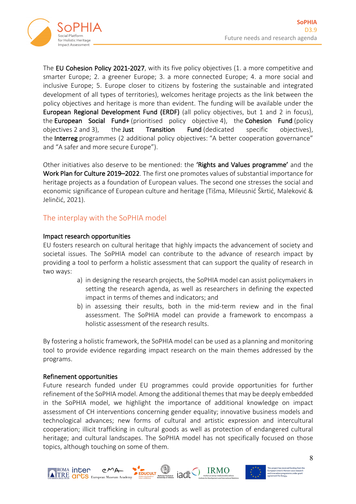

The EU Cohesion Policy 2021-2027, with its five policy objectives (1. a more competitive and smarter Europe; 2. a greener Europe; 3. a more connected Europe; 4. a more social and inclusive Europe; 5. Europe closer to citizens by fostering the sustainable and integrated development of all types of territories), welcomes heritage projects as the link between the policy objectives and heritage is more than evident. The funding will be available under the European Regional Development Fund (ERDF) (all policy objectives, but 1 and 2 in focus), the European Social Fund+ (prioritised policy objective 4), the Cohesion Fund (policy objectives 2 and 3), the Just Transition Fund (dedicated specific objectives), the Interreg programmes (2 additional policy objectives: "A better cooperation governance" and "A safer and more secure Europe").

Other initiatives also deserve to be mentioned: the 'Rights and Values programme' and the Work Plan for Culture 2019–2022. The first one promotes values of substantial importance for heritage projects as a foundation of European values. The second one stresses the social and economic significance of European culture and heritage (Tišma, Mileusnić Škrtić, Maleković & Jelinčić, 2021).

### The interplay with the SoPHIA model

### Impact research opportunities

EU fosters research on cultural heritage that highly impacts the advancement of society and societal issues. The SoPHIA model can contribute to the advance of research impact by providing a tool to perform a holistic assessment that can support the quality of research in two ways:

- a) in designing the research projects, the SoPHIA model can assist policymakers in setting the research agenda, as well as researchers in defining the expected impact in terms of themes and indicators; and
- b) in assessing their results, both in the mid-term review and in the final assessment. The SoPHIA model can provide a framework to encompass a holistic assessment of the research results.

By fostering a holistic framework, the SoPHIA model can be used as a planning and monitoring tool to provide evidence regarding impact research on the main themes addressed by the programs.

#### Refinement opportunities

Future research funded under EU programmes could provide opportunities for further refinement of the SoPHIA model. Among the additional themes that may be deeply embedded in the SoPHIA model, we highlight the importance of additional knowledge on impact assessment of CH interventions concerning gender equality; innovative business models and technological advances; new forms of cultural and artistic expression and intercultural cooperation; illicit trafficking in cultural goods as well as protection of endangered cultural heritage; and cultural landscapes. The SoPHIA model has not specifically focused on those topics, although touching on some of them.



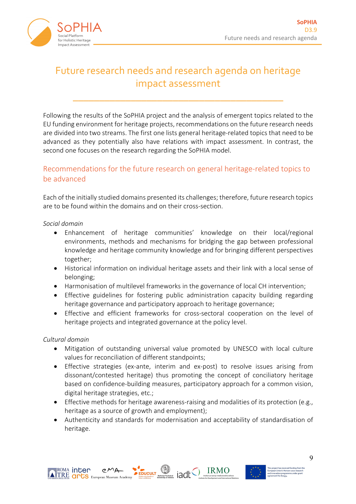

## Future research needs and research agenda on heritage impact assessment

\_\_\_\_\_\_\_\_\_\_\_\_\_\_\_\_\_\_\_\_\_\_\_\_\_\_\_\_\_\_\_\_\_\_\_\_\_\_\_\_

Following the results of the SoPHIA project and the analysis of emergent topics related to the EU funding environment for heritage projects, recommendations on the future research needs are divided into two streams. The first one lists general heritage-related topics that need to be advanced as they potentially also have relations with impact assessment. In contrast, the second one focuses on the research regarding the SoPHIA model.

### Recommendations for the future research on general heritage-related topics to be advanced

Each of the initially studied domains presented its challenges; therefore, future research topics are to be found within the domains and on their cross-section.

#### *Social domain*

- Enhancement of heritage communities' knowledge on their local/regional environments, methods and mechanisms for bridging the gap between professional knowledge and heritage community knowledge and for bringing different perspectives together;
- Historical information on individual heritage assets and their link with a local sense of belonging;
- Harmonisation of multilevel frameworks in the governance of local CH intervention;
- Effective guidelines for fostering public administration capacity building regarding heritage governance and participatory approach to heritage governance;
- Effective and efficient frameworks for cross-sectoral cooperation on the level of heritage projects and integrated governance at the policy level.

#### *Cultural domain*

- Mitigation of outstanding universal value promoted by UNESCO with local culture values for reconciliation of different standpoints;
- Effective strategies (ex-ante, interim and ex-post) to resolve issues arising from dissonant/contested heritage) thus promoting the concept of conciliatory heritage based on confidence-building measures, participatory approach for a common vision, digital heritage strategies, etc.;
- Effective methods for heritage awareness-raising and modalities of its protection (e.g., heritage as a source of growth and employment);
- Authenticity and standards for modernisation and acceptability of standardisation of heritage.

EDUCULT

 $H_{\text{max}}$  and  $\bigcirc$   $\overline{\text{IRMO}}$ 

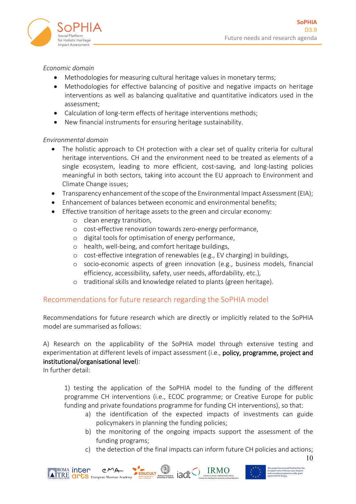

### *Economic domain*

- Methodologies for measuring cultural heritage values in monetary terms;
- Methodologies for effective balancing of positive and negative impacts on heritage interventions as well as balancing qualitative and quantitative indicators used in the assessment;
- Calculation of long-term effects of heritage interventions methods;
- New financial instruments for ensuring heritage sustainability.

#### *Environmental domain*

- The holistic approach to CH protection with a clear set of quality criteria for cultural heritage interventions. CH and the environment need to be treated as elements of a single ecosystem, leading to more efficient, cost-saving, and long-lasting policies meaningful in both sectors, taking into account the EU approach to Environment and Climate Change issues;
- Transparency enhancement of the scope of the Environmental Impact Assessment (EIA);
- Enhancement of balances between economic and environmental benefits;
- Effective transition of heritage assets to the green and circular economy:
	- o clean energy transition,
	- o cost-effective renovation towards zero-energy performance,
	- o digital tools for optimisation of energy performance,
	- o health, well-being, and comfort heritage buildings,
	- o cost-effective integration of renewables (e.g., EV charging) in buildings,
	- o socio-economic aspects of green innovation (e.g., business models, financial efficiency, accessibility, safety, user needs, affordability, etc.),
	- o traditional skills and knowledge related to plants (green heritage).

### Recommendations for future research regarding the SoPHIA model

Recommendations for future research which are directly or implicitly related to the SoPHIA model are summarised as follows:

A) Research on the applicability of the SoPHIA model through extensive testing and experimentation at different levels of impact assessment (i.e., policy, programme, project and institutional/organisational level):

In further detail:

1) testing the application of the SoPHIA model to the funding of the different programme CH interventions (i.e., ECOC programme; or Creative Europe for public funding and private foundations programme for funding CH interventions), so that:

- a) the identification of the expected impacts of investments can guide policymakers in planning the funding policies;
- b) the monitoring of the ongoing impacts support the assessment of the funding programs;
- c) the detection of the final impacts can inform future CH policies and actions;



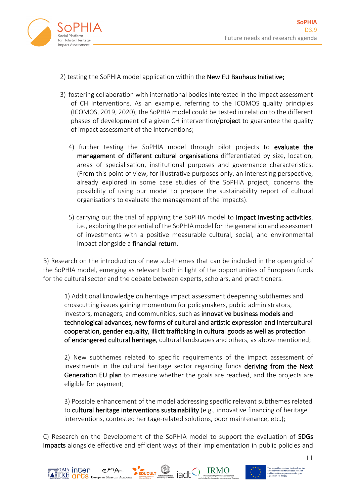

- 2) testing the SoPHIA model application within the New EU Bauhaus Initiative;
- 3) fostering collaboration with international bodies interested in the impact assessment of CH interventions. As an example, referring to the ICOMOS quality principles (ICOMOS, 2019, 2020), the SoPHIA model could be tested in relation to the different phases of development of a given CH intervention/**project** to guarantee the quality of impact assessment of the interventions;
	- 4) further testing the SoPHIA model through pilot projects to evaluate the management of different cultural organisations differentiated by size, location, areas of specialisation, institutional purposes and governance characteristics. (From this point of view, for illustrative purposes only, an interesting perspective, already explored in some case studies of the SoPHIA project, concerns the possibility of using our model to prepare the sustainability report of cultural organisations to evaluate the management of the impacts).
	- 5) carrying out the trial of applying the SoPHIA model to Impact Investing activities, i.e., exploring the potential of the SoPHIA model for the generation and assessment of investments with a positive measurable cultural, social, and environmental impact alongside a financial return.

B) Research on the introduction of new sub-themes that can be included in the open grid of the SoPHIA model, emerging as relevant both in light of the opportunities of European funds for the cultural sector and the debate between experts, scholars, and practitioners.

1) Additional knowledge on heritage impact assessment deepening subthemes and crosscutting issues gaining momentum for policymakers, public administrators, investors, managers, and communities, such as innovative business models and technological advances, new forms of cultural and artistic expression and intercultural cooperation, gender equality, illicit trafficking in cultural goods as well as protection of endangered cultural heritage, cultural landscapes and others, as above mentioned;

2) New subthemes related to specific requirements of the impact assessment of investments in the cultural heritage sector regarding funds deriving from the Next Generation EU plan to measure whether the goals are reached, and the projects are eligible for payment;

3) Possible enhancement of the model addressing specific relevant subthemes related to cultural heritage interventions sustainability (e.g., innovative financing of heritage interventions, contested heritage-related solutions, poor maintenance, etc.);

C) Research on the Development of the SoPHIA model to support the evaluation of SDGs impacts alongside effective and efficient ways of their implementation in public policies and



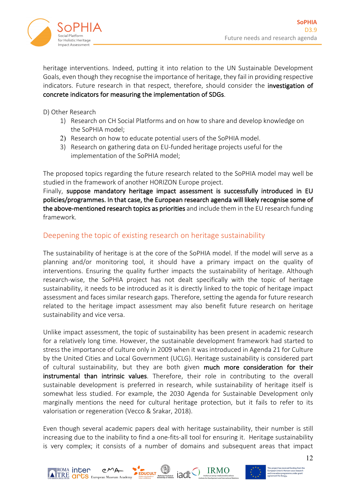

heritage interventions. Indeed, putting it into relation to the UN Sustainable Development Goals, even though they recognise the importance of heritage, they fail in providing respective indicators. Future research in that respect, therefore, should consider the investigation of concrete indicators for measuring the implementation of SDGs.

D) Other Research

- 1) Research on CH Social Platforms and on how to share and develop knowledge on the SoPHIA model;
- 2) Research on how to educate potential users of the SoPHIA model.
- 3) Research on gathering data on EU-funded heritage projects useful for the implementation of the SoPHIA model;

The proposed topics regarding the future research related to the SoPHIA model may well be studied in the framework of another HORIZON Europe project.

Finally, suppose mandatory heritage impact assessment is successfully introduced in EU policies/programmes. In that case, the European research agenda will likely recognise some of the above-mentioned research topics as priorities and include them in the EU research funding framework.

### Deepening the topic of existing research on heritage sustainability

The sustainability of heritage is at the core of the SoPHIA model. If the model will serve as a planning and/or monitoring tool, it should have a primary impact on the quality of interventions. Ensuring the quality further impacts the sustainability of heritage. Although research-wise, the SoPHIA project has not dealt specifically with the topic of heritage sustainability, it needs to be introduced as it is directly linked to the topic of heritage impact assessment and faces similar research gaps. Therefore, setting the agenda for future research related to the heritage impact assessment may also benefit future research on heritage sustainability and vice versa.

Unlike impact assessment, the topic of sustainability has been present in academic research for a relatively long time. However, the sustainable development framework had started to stress the importance of culture only in 2009 when it was introduced in Agenda 21 for Culture by the United Cities and Local Government (UCLG). Heritage sustainability is considered part of cultural sustainability, but they are both given much more consideration for their instrumental than intrinsic values. Therefore, their role in contributing to the overall sustainable development is preferred in research, while sustainability of heritage itself is somewhat less studied. For example, the 2030 Agenda for Sustainable Development only marginally mentions the need for cultural heritage protection, but it fails to refer to its valorisation or regeneration (Vecco & Srakar, 2018).

Even though several academic papers deal with heritage sustainability, their number is still increasing due to the inability to find a one-fits-all tool for ensuring it. Heritage sustainability is very complex; it consists of a number of domains and subsequent areas that impact



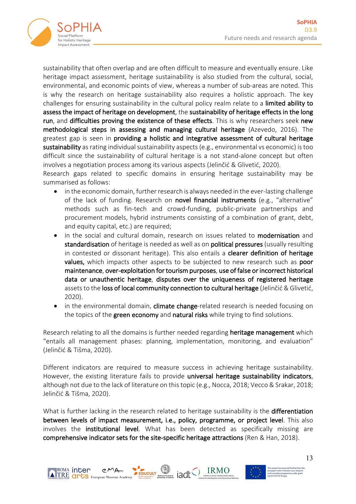

sustainability that often overlap and are often difficult to measure and eventually ensure. Like heritage impact assessment, heritage sustainability is also studied from the cultural, social, environmental, and economic points of view, whereas a number of sub-areas are noted. This is why the research on heritage sustainability also requires a holistic approach. The key challenges for ensuring sustainability in the cultural policy realm relate to a limited ability to assess the impact of heritage on development, the sustainability of heritage effects in the long run, and difficulties proving the existence of these effects. This is why researchers seek new methodological steps in assessing and managing cultural heritage (Azevedo, 2016). The greatest gap is seen in providing a holistic and integrative assessment of cultural heritage sustainability as rating individual sustainability aspects (e.g., environmental vs economic) is too difficult since the sustainability of cultural heritage is a not stand-alone concept but often involves a negotiation process among its various aspects (Jelinčić & Glivetić, 2020).

Research gaps related to specific domains in ensuring heritage sustainability may be summarised as follows:

- in the economic domain, further research is always needed in the ever-lasting challenge of the lack of funding. Research on novel financial instruments (e.g., "alternative" methods such as fin-tech and crowd-funding, public-private partnerships and procurement models, hybrid instruments consisting of a combination of grant, debt, and equity capital, etc.) are required;
- in the social and cultural domain, research on issues related to **modernisation** and standardisation of heritage is needed as well as on political pressures (usually resulting in contested or dissonant heritage). This also entails a clearer definition of heritage **values,** which impacts other aspects to be subjected to new research such as **poor** maintenance, over-exploitation for tourism purposes, use of false or incorrect historical data or unauthentic heritage, disputes over the uniqueness of registered heritage assets to the loss of local community connection to cultural heritage (Jelinčić & Glivetić, 2020).
- in the environmental domain, climate change-related research is needed focusing on the topics of the green economy and natural risks while trying to find solutions.

Research relating to all the domains is further needed regarding **heritage management** which "entails all management phases: planning, implementation, monitoring, and evaluation" (Jelinčić & Tišma, 2020).

Different indicators are required to measure success in achieving heritage sustainability. However, the existing literature fails to provide universal heritage sustainability indicators, although not due to the lack of literature on this topic (e.g., Nocca, 2018; Vecco & Srakar, 2018; Jelinčić & Tišma, 2020).

What is further lacking in the research related to heritage sustainability is the **differentiation** between levels of impact measurement, i.e., policy, programme, or project level. This also involves the institutional level. What has been detected as specifically missing are comprehensive indicator sets for the site-specific heritage attractions (Ren & Han, 2018).

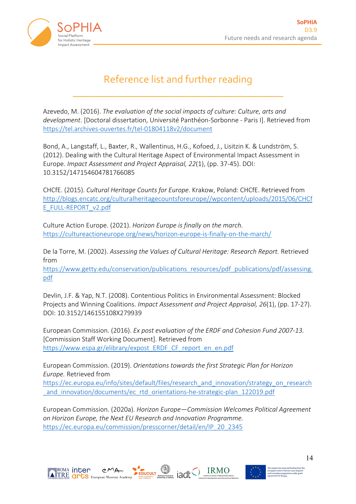

# Reference list and further reading

\_\_\_\_\_\_\_\_\_\_\_\_\_\_\_\_\_\_\_\_\_\_\_\_\_\_\_\_\_\_\_\_\_\_\_\_\_\_\_\_

Azevedo, M. (2016). *The evaluation of the social impacts of culture: Culture, arts and development*. [Doctoral dissertation, Université Panthéon-Sorbonne - Paris I]. Retrieved from https://tel.archives-ouvertes.fr/tel-01804118v2/document

Bond, A., Langstaff, L., Baxter, R., Wallentinus, H.G., Kofoed, J., Lisitzin K. & Lundström, S. (2012). Dealing with the Cultural Heritage Aspect of Environmental Impact Assessment in Europe. *Impact Assessment and Project Appraisal, 22*(1), (pp. 37-45). DOI: 10.3152/147154604781766085

CHCfE. (2015). *Cultural Heritage Counts for Europe.* Krakow, Poland: CHCfE. Retrieved from http://blogs.encatc.org/culturalheritagecountsforeurope//wpcontent/uploads/2015/06/CHCf E\_FULL-REPORT\_v2.pdf

Culture Action Europe. (2021). *Horizon Europe is finally on the march.*  https://cultureactioneurope.org/news/horizon-europe-is-finally-on-the-march/

De la Torre, M. (2002). *Assessing the Values of Cultural Heritage: Research Report.* Retrieved from

https://www.getty.edu/conservation/publications\_resources/pdf\_publications/pdf/assessing. pdf

Devlin, J.F. & Yap, N.T. (2008). Contentious Politics in Environmental Assessment: Blocked Projects and Winning Coalitions. *Impact Assessment and Project Appraisal, 26*(1), (pp. 17-27). DOI: 10.3152/146155108X279939

European Commission. (2016). *Ex post evaluation of the ERDF and Cohesion Fund 2007-13.* [Commission Staff Working Document]. Retrieved from https://www.espa.gr/elibrary/expost\_ERDF\_CF\_report\_en\_en.pdf

European Commission. (2019). *Orientations towards the first Strategic Plan for Horizon Europe.* Retrieved from

https://ec.europa.eu/info/sites/default/files/research\_and\_innovation/strategy\_on\_research and innovation/documents/ec rtd orientations-he-strategic-plan\_122019.pdf

European Commission. (2020a). *Horizon Europe—Commission Welcomes Political Agreement on Horizon Europe, the Next EU Research and Innovation Programme.* https://ec.europa.eu/commission/presscorner/detail/en/IP\_20\_2345

EDUCULT





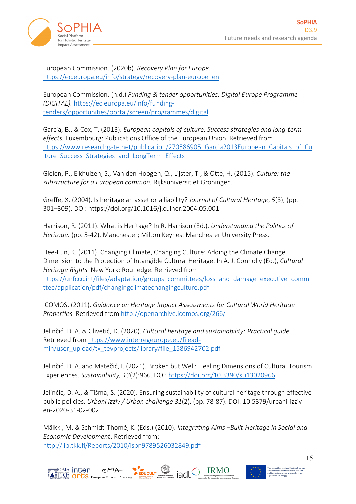

European Commission. (2020b). *Recovery Plan for Europe.* https://ec.europa.eu/info/strategy/recovery-plan-europe\_en

European Commission. (n.d.) *Funding & tender opportunities: Digital Europe Programme (DIGITAL).* https://ec.europa.eu/info/fundingtenders/opportunities/portal/screen/programmes/digital

Garcia, B., & Cox, T. (2013). *European capitals of culture: Success strategies and long-term effects.* Luxembourg: Publications Office of the European Union. Retrieved from https://www.researchgate.net/publication/270586905\_Garcia2013European\_Capitals\_of\_Cu lture\_Success\_Strategies\_and\_LongTerm\_Effects

Gielen, P., Elkhuizen, S., Van den Hoogen, Q., Lijster, T., & Otte, H. (2015). *Culture: the substructure for a European common.* Rijksuniversitiet Groningen.

Greffe, X. (2004). Is heritage an asset or a liability? *Journal of Cultural Heritage*, *5*(3), (pp. 301–309). DOI: https://doi.org/10.1016/j.culher.2004.05.001

Harrison, R. (2011). What is Heritage? In R. Harrison (Ed.), *Understanding the Politics of Heritage.* (pp. 5-42). Manchester; Milton Keynes: Manchester University Press.

Hee-Eun, K. (2011). Changing Climate, Changing Culture: Adding the Climate Change Dimension to the Protection of Intangible Cultural Heritage. In A. J. Connolly (Ed.), *Cultural Heritage Rights.* New York: Routledge. Retrieved from https://unfccc.int/files/adaptation/groups\_committees/loss\_and\_damage\_executive\_commi ttee/application/pdf/changingclimatechangingculture.pdf

ICOMOS. (2011). *Guidance on Heritage Impact Assessments for Cultural World Heritage Properties.* Retrieved from http://openarchive.icomos.org/266/

Jelinčić, D. A. & Glivetić, D. (2020). *Cultural heritage and sustainability: Practical guide.*  Retrieved from https://www.interregeurope.eu/fileadmin/user\_upload/tx\_tevprojects/library/file\_1586942702.pdf

Jelinčić, D. A. and Matečić, I. (2021). Broken but Well: Healing Dimensions of Cultural Tourism Experiences. *Sustainability, 13*(2):966. DOI: https://doi.org/10.3390/su13020966

Jelinčić, D. A., & Tišma, S. (2020). Ensuring sustainability of cultural heritage through effective public policies. *Urbani izziv / Urban challenge 31*(2), (pp. 78-87). DOI: 10.5379/urbani-izziven-2020-31-02-002

Mälkki, M. & Schmidt-Thomé, K. (Eds.) (2010). *Integrating Aims –Built Heritage in Social and Economic Development*. Retrieved from: http://lib.tkk.fi/Reports/2010/isbn9789526032849.pdf



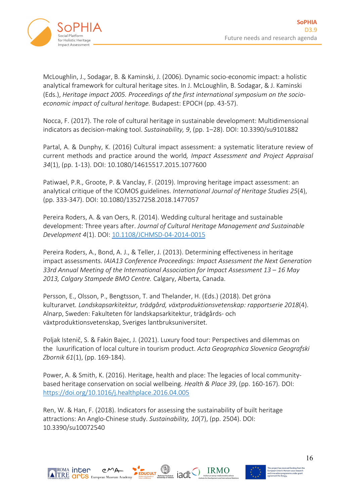

McLoughlin, J., Sodagar, B. & Kaminski, J. (2006). Dynamic socio-economic impact: a holistic analytical framework for cultural heritage sites. In J. McLoughlin, B. Sodagar, & J. Kaminski (Eds.), *Heritage impact 2005. Proceedings of the first international symposium on the socioeconomic impact of cultural heritage.* Budapest: EPOCH (pp. 43-57).

Nocca, F. (2017). The role of cultural heritage in sustainable development: Multidimensional indicators as decision-making tool. *Sustainability, 9*, (pp. 1–28). DOI: 10.3390/su9101882

Partal, A. & Dunphy, K. (2016) Cultural impact assessment: a systematic literature review of current methods and practice around the world*, Impact Assessment and Project Appraisal 34*(1), (pp. 1-13). DOI: 10.1080/14615517.2015.1077600

Patiwael, P.R., Groote, P. & Vanclay, F. (2019). Improving heritage impact assessment: an analytical critique of the ICOMOS guidelines. *International Journal of Heritage Studies 25*(4), (pp. 333-347). DOI: 10.1080/13527258.2018.1477057

Pereira Roders, A. & van Oers, R. (2014). Wedding cultural heritage and sustainable development: Three years after. *Journal of Cultural Heritage Management and Sustainable Development 4*(1). DOI: 10.1108/JCHMSD-04-2014-0015

Pereira Roders, A., Bond, A. J., & Teller, J. (2013). Determining effectiveness in heritage impact assessments. *IAIA13 Conference Proceedings: Impact Assessment the Next Generation 33rd Annual Meeting of the International Association for Impact Assessment 13 – 16 May 2013, Calgary Stampede BMO Centre.* Calgary, Alberta, Canada.

Persson, E., Olsson, P., Bengtsson, T. and Thelander, H. (Eds.) (2018). Det gröna kulturarvet*. Landskapsarkitektur, trädgård, växtproduktionsvetenskap: rapportserie 2018*(4). Alnarp, Sweden: Fakulteten för landskapsarkitektur, trädgårds- och växtproduktionsvetenskap, Sveriges lantbruksuniversitet.

Poljak Istenič, S. & Fakin Bajec, J. (2021). Luxury food tour: Perspectives and dilemmas on the luxurification of local culture in tourism product. *Acta Geographica Slovenica Geografski Zbornik 61*(1), (pp. 169-184).

Power, A. & Smith, K. (2016). Heritage, health and place: The legacies of local communitybased heritage conservation on social wellbeing. *Health & Place 39*, (pp. 160-167). DOI: https://doi.org/10.1016/j.healthplace.2016.04.005

Ren, W. & Han, F. (2018). Indicators for assessing the sustainability of built heritage attractions: An Anglo-Chinese study. *Sustainability, 10*(7), (pp. 2504). DOI: 10.3390/su10072540

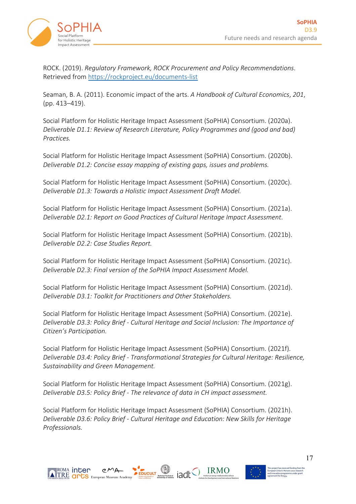

ROCK. (2019). *Regulatory Framework, ROCK Procurement and Policy Recommendations*. Retrieved from https://rockproject.eu/documents-list

Seaman, B. A. (2011). Economic impact of the arts. *A Handbook of Cultural Economics*, *201*, (pp. 413–419).

Social Platform for Holistic Heritage Impact Assessment (SoPHIA) Consortium. (2020a). *Deliverable D1.1: Review of Research Literature, Policy Programmes and (good and bad) Practices.* 

Social Platform for Holistic Heritage Impact Assessment (SoPHIA) Consortium. (2020b). *Deliverable D1.2: Concise essay mapping of existing gaps, issues and problems.*

Social Platform for Holistic Heritage Impact Assessment (SoPHIA) Consortium. (2020c). *Deliverable D1.3: Towards a Holistic Impact Assessment Draft Model.*

Social Platform for Holistic Heritage Impact Assessment (SoPHIA) Consortium. (2021a). *Deliverable D2.1: Report on Good Practices of Cultural Heritage Impact Assessment*.

Social Platform for Holistic Heritage Impact Assessment (SoPHIA) Consortium. (2021b). *Deliverable D2.2: Case Studies Report.*

Social Platform for Holistic Heritage Impact Assessment (SoPHIA) Consortium. (2021c). *Deliverable D2.3: Final version of the SoPHIA Impact Assessment Model.*

Social Platform for Holistic Heritage Impact Assessment (SoPHIA) Consortium. (2021d). *Deliverable D3.1: Toolkit for Practitioners and Other Stakeholders.*

Social Platform for Holistic Heritage Impact Assessment (SoPHIA) Consortium. (2021e). *Deliverable D3.3: Policy Brief - Cultural Heritage and Social Inclusion: The Importance of Citizen's Participation.* 

Social Platform for Holistic Heritage Impact Assessment (SoPHIA) Consortium. (2021f). *Deliverable D3.4: Policy Brief - Transformational Strategies for Cultural Heritage: Resilience, Sustainability and Green Management.*

Social Platform for Holistic Heritage Impact Assessment (SoPHIA) Consortium. (2021g). *Deliverable D3.5: Policy Brief - The relevance of data in CH impact assessment.*

Social Platform for Holistic Heritage Impact Assessment (SoPHIA) Consortium. (2021h). *Deliverable D3.6: Policy Brief - Cultural Heritage and Education: New Skills for Heritage Professionals.*

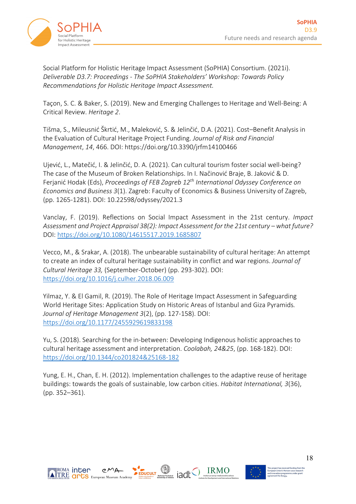

Social Platform for Holistic Heritage Impact Assessment (SoPHIA) Consortium. (2021i). *Deliverable D3.7: Proceedings - The SoPHIA Stakeholders' Workshop: Towards Policy Recommendations for Holistic Heritage Impact Assessment.*

Taçon, S. C. & Baker, S. (2019). New and Emerging Challenges to Heritage and Well-Being: A Critical Review. *Heritage 2*.

Tišma, S., Mileusnić Škrtić, M., Maleković, S. & Jelinčić, D.A. (2021). Cost–Benefit Analysis in the Evaluation of Cultural Heritage Project Funding. *Journal of Risk and Financial Management*, *14*, 466. DOI: https://doi.org/10.3390/jrfm14100466

Ujević, L., Matečić, I. & Jelinčić, D. A. (2021). Can cultural tourism foster social well-being? The case of the Museum of Broken Relationships. In I. Načinović Braje, B. Jaković & D. Ferjanić Hodak (Eds), *Proceedings of FEB Zagreb 12th International Odyssey Conference on Economics and Business 3*(1). Zagreb: Faculty of Economics & Business University of Zagreb, (pp. 1265-1281). DOI: 10.22598/odyssey/2021.3

Vanclay, F. (2019). Reflections on Social Impact Assessment in the 21st century. *Impact Assessment and Project Appraisal 38(2): Impact Assessment for the 21st century – what future?* DOI: https://doi.org/10.1080/14615517.2019.1685807

Vecco, M., & Srakar, A. (2018). The unbearable sustainability of cultural heritage: An attempt to create an index of cultural heritage sustainability in conflict and war regions. *Journal of Cultural Heritage 33,* (September-October) (pp. 293-302). DOI: https://doi.org/10.1016/j.culher.2018.06.009

Yilmaz, Y. & El Gamil, R. (2019). The Role of Heritage Impact Assessment in Safeguarding World Heritage Sites: Application Study on Historic Areas of Istanbul and Giza Pyramids*. Journal of Heritage Management 3*(2), (pp. 127-158). DOI: https://doi.org/10.1177/2455929619833198

Yu, S. (2018). Searching for the in-between: Developing Indigenous holistic approaches to cultural heritage assessment and interpretation. *Coolabah, 24&25*, (pp. 168-182). DOI: https://doi.org/10.1344/co201824&25168-182

Yung, E. H., Chan, E. H. (2012). Implementation challenges to the adaptive reuse of heritage buildings: towards the goals of sustainable, low carbon cities. *Habitat International, 3*(36), (pp. 352–361).





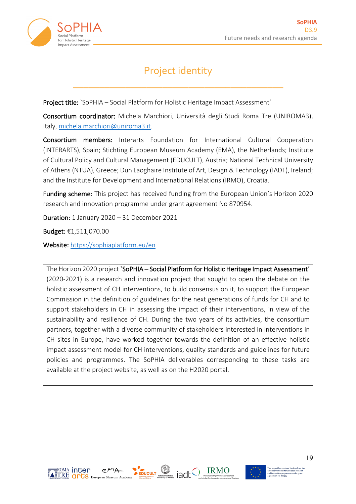

## Project identity

\_\_\_\_\_\_\_\_\_\_\_\_\_\_\_\_\_\_\_\_\_\_\_\_\_\_\_\_\_\_\_\_\_\_\_\_\_\_\_\_

Project title: `SoPHIA – Social Platform for Holistic Heritage Impact Assessment´

Consortium coordinator: Michela Marchiori, Università degli Studi Roma Tre (UNIROMA3), Italy, michela.marchiori@uniroma3.it.

Consortium members: Interarts Foundation for International Cultural Cooperation (INTERARTS), Spain; Stichting European Museum Academy (EMA), the Netherlands; Institute of Cultural Policy and Cultural Management (EDUCULT), Austria; National Technical University of Athens (NTUA), Greece; Dun Laoghaire Institute of Art, Design & Technology (IADT), Ireland; and the Institute for Development and International Relations (IRMO), Croatia.

Funding scheme: This project has received funding from the European Union's Horizon 2020 research and innovation programme under grant agreement No 870954.

Duration: 1 January 2020 – 31 December 2021

Budget: €1,511,070.00

Website: https://sophiaplatform.eu/en

The Horizon 2020 project 'SoPHIA – Social Platform for Holistic Heritage Impact Assessment' (2020-2021) is a research and innovation project that sought to open the debate on the holistic assessment of CH interventions, to build consensus on it, to support the European Commission in the definition of guidelines for the next generations of funds for CH and to support stakeholders in CH in assessing the impact of their interventions, in view of the sustainability and resilience of CH. During the two years of its activities, the consortium partners, together with a diverse community of stakeholders interested in interventions in CH sites in Europe, have worked together towards the definition of an effective holistic impact assessment model for CH interventions, quality standards and guidelines for future policies and programmes. The SoPHIA deliverables corresponding to these tasks are available at the project website, as well as on the H2020 portal.





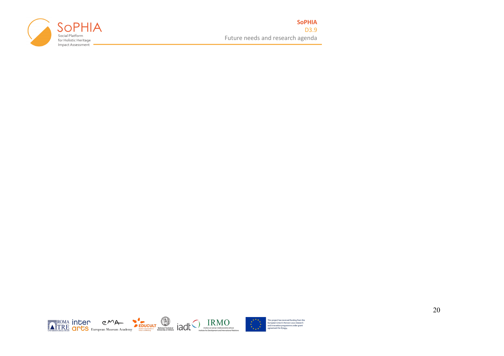

This project has received funding from the<br>European Union's Horizon 2020 research<br>and innovation programme under grant<br>agreement No 870954